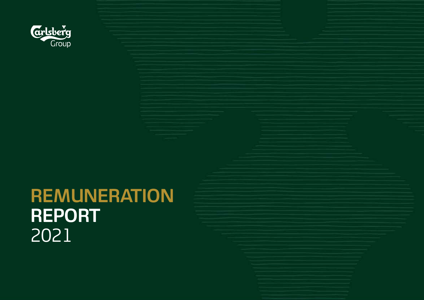

# **REMUNERATION REPORT** 2021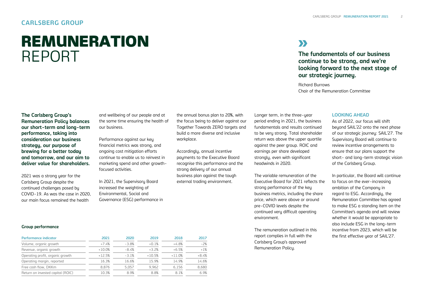### **CARLSBERG GROUP**

## REMUNERATION REPORT

## **XX**

**The fundamentals of our business continue to be strong, and we're looking forward to the next stage of our strategic journey.**

Richard Burrows Chair of the Remuneration Committee

**The Carlsberg Group's Remuneration Policy balances our short-term and long-term performance, taking into consideration our business strategy, our purpose of brewing for a better today and tomorrow, and our aim to deliver value for shareholders.** 

2021 was a strong year for the Carlsberg Group despite the continued challenges posed by COVID-19. As was the case in 2020, our main focus remained the health

and wellbeing of our people and at the same time ensuring the health of our business.

Performance against our key financial metrics was strong, and ongoing cost mitigation efforts continue to enable us to reinvest in marketing spend and other growthfocused activities.

In 2021, the Supervisory Board increased the weighting of Environmental, Social and Governance (ESG) performance in the annual bonus plan to 20%, with the focus being to deliver against our Together Towards ZERO targets and build a more diverse and inclusive workplace.

Accordingly, annual incentive payments to the Executive Board recognise this performance and the strong delivery of our annual business plan against the tough external trading environment.

Longer term, in the three-year period ending in 2021, the business fundamentals and results continued to be very strong. Total shareholder return was above the upper quartile against the peer group. ROIC and earnings per share developed strongly, even with significant headwinds in 2020.

The variable remuneration of the Executive Board for 2021 reflects the strong performance of the key business metrics, including the share price, which were above or around pre-COVID levels despite the continued very difficult operating environment.

The remuneration outlined in this report complies in full with the Carlsberg Group's approved Remuneration Policy.

#### **LOOKING AHEAD**

As of 2022, our focus will shift beyond SAIL'22 onto the next phase of our strategic journey: SAIL'27. The Supervisory Board will continue to review incentive arrangements to ensure that our plans support the short- and long-term strategic vision of the Carlsberg Group.

In particular, the Board will continue to focus on the ever-increasing ambition of the Company in regard to ESG. Accordingly, the Remuneration Committee has agreed to make ESG a standing item on the Committee's agenda and will review whether it would be appropriate to also include ESG in the long-term incentive from 2023, which will be the first effective year of SAIL'27.

#### **Group performance**

| 2021     | 2020    | 2019     | 2018     | 2017    |
|----------|---------|----------|----------|---------|
| $+7.4%$  | $-3.8%$ | $+0.1%$  | $+4.8%$  | $-2%$   |
| $+10.0%$ | $-8.4%$ | $+3.2%$  | $+6.5%$  | $+1%$   |
| $+12.5%$ | $-3.1%$ | $+10.5%$ | $+11.0%$ | $+8.4%$ |
| 16.3%    | 16.6%   | 15.9%    | 14.9%    | 14.6%   |
| 8.876    | 5.057   | 9.962    | 6.156    | 8.680   |
| 10.3%    | 8.9%    | 8.8%     | 8.1%     | 6.9%    |
|          |         |          |          |         |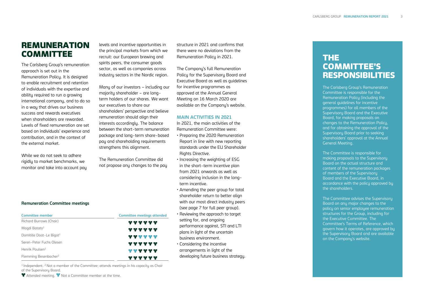## REMUNERATION COMMITTEE

The Carlsberg Group's remuneration approach is set out in the [Remuneration Policy.](https://www.carlsberggroup.com/media/36692/remuneration-policy_2020.pdf) It is designed to enable recruitment and retention of individuals with the expertise and ability required to run a growing international company, and to do so in a way that drives our business success and rewards executives when shareholders are rewarded. Levels of fixed remuneration are set based on individuals' experience and contribution, and in the context of the external market.

While we do not seek to adhere rigidly to market benchmarks, we monitor and take into account pay

#### levels and incentive opportunities in the principal markets from which we recruit: our European brewing and spirits peers, the consumer goods sector, as well as companies across industry sectors in the Nordic region.

Many of our investors – including our majority shareholder – are long term holders of our shares. We want our executives to share our shareholders' perspective and believe remuneration should align their interests accordingly. The balance between the short -term remuneration package and long -term share -based pay and shareholding requirements strengthens this alignment.

The Remuneration Committee did not propose any changes to the pay

structure in 202 1 and confirms that there were no deviations from the Remuneration Policy in 202 1.

The Company's ful[l Remuneration](https://www.carlsberggroup.com/media/36692/remuneration-policy_2020.pdf)  [Policy](https://www.carlsberggroup.com/media/36692/remuneration-policy_2020.pdf) for the Supervisory Board and Executive Board as well as guidelines for incentive programmes as approved at the Annual General Meeting on 16 March 2020 are available on the Company's website.

#### **MAIN ACTIVITIES IN 202 1**

In 202 1, the main activities of the Remuneration Committee were:

- Preparing the 2020 Remuneration Report in line with new reporting standards under the EU Shareholder Rights Directive.
- Increasing the weighting of ESG in the short -term incentive plan from 202 1 onwards as well as considering inclusion in the long term incentive .
- Amending the peer group for total shareholder return to better align with our most direct industru peers (see page 7 for full peer group).
- Reviewing the approach to target setting for, and ongoing performance against , STI and LTI plans in light of the uncertain business environment .
- Considering the incentive arrangements in light of the developing future business strategy.

## THE COMMITTEE 'S RESPONSIBILITIES

The Carlsberg Group's Remuneration Committee is responsible for the Remuneration Policy (including the general guidelines for incentive programmes) for all members of the Supervisory Board and the Executive Board, for making proposals on changes to the Remuneration Policy, and for obtaining the approval of the Supervisory Board prior to seeking shareholders ' approval at the Annual General Meeting.

The Committee is responsible for making proposals to the Supervisory Board on the actual structure and content of the remuneration packages of members of the Supervisory Board and the Executive Board, in accordance with the policy approved by the shareholders.

The Committee advises the Supervisory Board on any major changes to the policy on senior employee remuneration structures for the Group, including for the Executive Committee. The Committee' s Terms of Reference, which govern how it operates, are approved by the Supervisory Board and are available on the Company's website .

#### **Remuneration Committee meetings**

| <b>Committee member</b>           | ٠<br><b>Committee meetings attended</b> |
|-----------------------------------|-----------------------------------------|
| Richard Burrows (Chair)           | ******                                  |
| Magdi Batato <sup>1</sup>         | ******                                  |
| Domitille Doat-Le Bigot1          | ******                                  |
| Søren-Peter Fuchs Olesen          | ******                                  |
| Henrik Poulsen <sup>1</sup>       | ******                                  |
| Flemming Besenbacher <sup>2</sup> | ******                                  |

<sup>1</sup> Independent. <sup>2</sup> Not a member of the Committee; attends meetings in his capacity as Chair of the Supervisory Board.

Attended meeting.  $\blacktriangledown$  Not a Committee member at the time.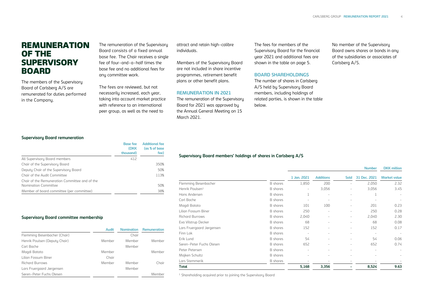## **REMUNERATION** OF THE **SUPERVISORY** BOARD

The members of the Supervisory Board of Carlsberg A/S are remunerated for duties performed in the Company.

The remuneration of the Supervisory Board consists of a fixed annual base fee. The Chair receives a single fee of four-and-a-half times the base fee and no additional fees for any committee work.

The fees are reviewed, but not necessarily increased, each year, taking into account market practice with reference to an international peer group, as well as the need to

attract and retain high-calibre individuals.

Members of the Supervisory Board are not included in share incentive programmes, retirement benefit plans or other benefit plans.

#### **REMUNERATION IN 2021**

The remuneration of the Supervisory Board for 2021 was approved by the Annual General Meeting on 15 March 2021.

The fees for members of the Supervisory Board for the financial year 2021 and additional fees are shown in the table on page 5.

#### **BOARD SHAREHOLDINGS**

The number of shares in Carlsberg A/S held by Supervisory Board members, including holdings of related parties, is shown in the table below.

No member of the Supervisory Board owns shares or bonds in any of the subsidiaries or associates of Carlsberg A/S.

#### **Supervisory Board remuneration**

|                                                | <b>Base fee</b><br>(DKK | <b>Additional fee</b><br>(as % of base) |
|------------------------------------------------|-------------------------|-----------------------------------------|
|                                                | thousand)               | fee)                                    |
| All Supervisory Board members                  | 412                     |                                         |
| Chair of the Supervisory Board                 |                         | 350%                                    |
| Deputy Chair of the Supervisory Board          |                         | 50%                                     |
| Chair of the Audit Committee                   |                         | 113%                                    |
| Chair of the Remuneration Committee and of the |                         |                                         |
| Nomination Committee                           |                         | 50%                                     |
| Member of board committee (per committee)      |                         | 38%                                     |

#### **Supervisory Board committee membership**

|                               | <b>Audit</b> | <b>Nomination</b> | <b>Remuneration</b> |
|-------------------------------|--------------|-------------------|---------------------|
| Flemming Besenbacher (Chair)  |              | Chair             |                     |
| Henrik Poulsen (Deputy Chair) | Member       | Member            | Member              |
| Carl Bache                    |              | Member            |                     |
| Magdi Batato                  | Member       |                   | Member              |
| Lilian Fossum Biner           | Chair        |                   |                     |
| <b>Richard Burrows</b>        | Member       | Member            | Chair               |
| Lars Fruergaard Jørgensen     |              | Member            |                     |
| Søren-Peter Fuchs Olesen      |              |                   | Member              |

#### **Supervisory Board members' holdings of shares in Carlsberg A/S**

|                             |                 |                          |                          |                          | <b>Number</b>            | <b>DKK</b> million       |
|-----------------------------|-----------------|--------------------------|--------------------------|--------------------------|--------------------------|--------------------------|
|                             |                 | 1 Jan. 2021              | <b>Additions</b>         | <b>Sold</b>              | 31 Dec. 2021             | <b>Market value</b>      |
| Flemming Besenbacher        | <b>B</b> shares | 1,850                    | 200                      |                          | 2,050                    | 2.32                     |
| Henrik Poulsen <sup>1</sup> | <b>B</b> shares | ٠                        | 3,056                    |                          | 3,056                    | 3.45                     |
| Hans Andersen               | <b>B</b> shares |                          | ٠                        | $\sim$                   |                          |                          |
| Carl Bache                  | <b>B</b> shares | ٠                        | $\sim$                   | $\sim$                   |                          |                          |
| Magdi Batato                | <b>B</b> shares | 101                      | 100                      | ٠                        | 201                      | 0.23                     |
| Lilian Fossum Biner         | <b>B</b> shares | 250                      | ٠                        |                          | 250                      | 0.28                     |
| <b>Richard Burrows</b>      | <b>B</b> shares | 2,040                    | $\sim$                   |                          | 2,040                    | 2.30                     |
| Eva Vilstrup Decker         | <b>B</b> shares | 68                       | $\sim$                   | $\sim$                   | 68                       | 0.08                     |
| Lars Fruergaard Jørgensen   | <b>B</b> shares | 152                      |                          | $\sim$                   | 152                      | 0.17                     |
| Finn Lok                    | <b>B</b> shares | $\sim$                   | $\sim$                   | $\sim$                   | $\sim$                   | $\overline{\phantom{a}}$ |
| Erik Lund                   | <b>B</b> shares | 54                       |                          |                          | 54                       | 0.06                     |
| Søren-Peter Fuchs Olesen    | <b>B</b> shares | 652                      |                          |                          | 652                      | 0.74                     |
| Peter Petersen              | <b>B</b> shares | ٠                        | $\sim$                   | $\sim$                   | $\overline{\phantom{a}}$ |                          |
| Majken Schultz              | <b>B</b> shares | $\overline{\phantom{a}}$ | $\overline{\phantom{a}}$ | $\overline{\phantom{a}}$ |                          |                          |
| Lars Stemmerik              | B shares        |                          |                          |                          |                          |                          |
| Total                       |                 | 5,168                    | 3,356                    |                          | 8,524                    | 9.63                     |

<sup>1</sup> Shareholding acquired prior to joining the Supervisory Board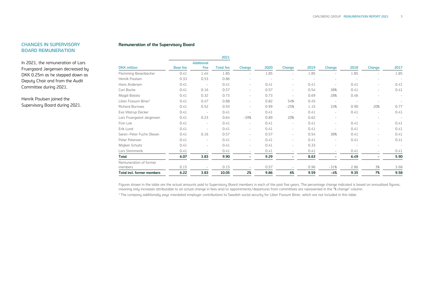#### **CHANGES IN SUPERVISORY BOARD REMUNERATION**

In 2021, the remuneration of Lars Fruergaard Jørgensen decreased by DKK 0.25m as he stepped down as Deputy Chair and from the Audit Committee during 2021.

Henrik Poulsen joined the Supervisory Board during 2021.

#### **Remuneration of the Supervisory Board**

|                                  | 2021            |                   |                  |                          |      |                          |                          |               |        |                          |        |
|----------------------------------|-----------------|-------------------|------------------|--------------------------|------|--------------------------|--------------------------|---------------|--------|--------------------------|--------|
|                                  |                 | <b>Additional</b> |                  |                          |      |                          |                          |               |        |                          |        |
| <b>DKK</b> million               | <b>Base fee</b> | Fee               | <b>Total fee</b> | <b>Change</b>            | 2020 | <b>Change</b>            | 2019                     | <b>Change</b> | 2018   | <b>Change</b>            | 2017   |
| Flemming Besenbacher             | 0.41            | 1.44              | 1.85             | $\overline{\phantom{a}}$ | 1.85 | $\overline{\phantom{a}}$ | 1.85                     |               | 1.85   | $\sim$                   | 1.85   |
| Henrik Poulsen                   | 0.33            | 0.53              | 0.86             | $\sim$                   |      | $\sim$                   | $\overline{\phantom{a}}$ |               | $\sim$ | ÷                        | $\sim$ |
| Hans Andersen                    | 0.41            | $\sim$            | 0.41             | $\overline{\phantom{a}}$ | 0.41 | $\sim$                   | 0.41                     |               | 0.41   | ÷                        | 0.41   |
| Carl Bache                       | 0.41            | 0.16              | 0.57             | $\overline{\phantom{a}}$ | 0.57 | $\overline{\phantom{a}}$ | 0.54                     | 38%           | 0.41   | -                        | 0.41   |
| Magdi Batato                     | 0.41            | 0.32              | 0.73             | $\overline{\phantom{a}}$ | 0.73 | $\sim$                   | 0.69                     | 28%           | 0.46   | ÷.                       |        |
| Lilian Fossum Biner <sup>1</sup> | 0.41            | 0.47              | 0.88             | $\overline{\phantom{m}}$ | 0.82 | 54%                      | 0.45                     | $\sim$        | $\sim$ | $\sim$                   | ٠      |
| <b>Richard Burrows</b>           | 0.41            | 0.52              | 0.93             | $\overline{\phantom{a}}$ | 0.99 | $-25%$                   | 1.15                     | 33%           | 0.90   | 20%                      | 0.77   |
| Eva Vilstrup Decker              | 0.41            | $\sim$            | 0.41             | $\overline{\phantom{a}}$ | 0.41 | $\sim$                   | 0.41                     | $\sim$        | 0.41   | $\overline{\phantom{a}}$ | 0.41   |
| Lars Fruergaard Jørgensen        | 0.41            | 0.23              | 0.64             | $-39%$                   | 0.89 | 20%                      | 0.62                     | $\sim$        | $\sim$ | $\sim$                   | $\sim$ |
| Finn Lok                         | 0.41            | ٠                 | 0.41             | $\overline{\phantom{m}}$ | 0.41 | ٠                        | 0.41                     | $\sim$        | 0.41   | $\overline{\phantom{0}}$ | 0.41   |
| Erik Lund                        | 0.41            | $\sim$            | 0.41             | $\overline{\phantom{m}}$ | 0.41 | $\overline{\phantom{a}}$ | 0.41                     |               | 0.41   | -                        | 0.41   |
| Søren-Peter Fuchs Olesen         | 0.41            | 0.16              | 0.57             | $\overline{\phantom{a}}$ | 0.57 | $\overline{\phantom{a}}$ | 0.54                     | 38%           | 0.41   | ÷                        | 0.41   |
| Peter Petersen                   | 0.41            | ٠                 | 0.41             | $\overline{\phantom{m}}$ | 0.41 | $\sim$                   | 0.41                     | $\sim$        | 0.41   | -                        | 0.41   |
| Majken Schultz                   | 0.41            | $\sim$            | 0.41             | $\overline{\phantom{a}}$ | 0.41 | $\overline{\phantom{a}}$ | 0.33                     |               | $\sim$ | ÷                        | $\sim$ |
| Lars Stemmerik                   | 0.41            |                   | 0.41             | $\overline{\phantom{a}}$ | 0.41 | $\sim$                   | 0.41                     |               | 0.41   | $\sim$                   | 0.41   |
| <b>Total</b>                     | 6.07            | 3.83              | 9.90             | ۰                        | 9.29 |                          | 8.63                     |               | 6.49   | Ξ.                       | 5.90   |
| Remuneration of former           |                 |                   |                  |                          |      |                          |                          |               |        |                          |        |
| members                          | 0.15            |                   | 0.15             |                          | 0.57 |                          | 0.96                     | $-31%$        | 2.86   | 3%                       | 3.68   |
| Total incl. former members       | 6.22            | 3.83              | 10.05            | 2%                       | 9.86 | 6%                       | 9.59                     | -4%           | 9.35   | 7%                       | 9.58   |

Figures shown in the table are the actual amounts paid to Supervisory Board members in each of the past five years. The percentage change indicated is based on annualised figures, meaning only increases attributable to an actual change in fees and/or appointments/departures from committees are represented in the "% change" column.

<sup>1</sup> The company additionally pays mandated employer contributions to Swedish social security for Lilian Fossum Biner, which are not included in this table.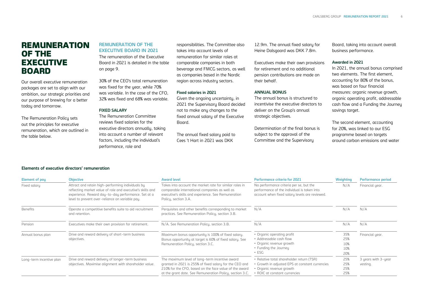### REMUNERATION OF THE **EXECUTIVE** BOARD

Our overall executive remuneration packages are set to align with our ambition, our strategic priorities and our purpose of brewing for a better today and tomorrow.

The [Remuneration Policy](https://www.carlsberggroup.com/media/36692/remuneration-policy_2020.pdf) sets out the principles for executive remuneration, which are outlined in the table below.

### **REMUNERATION OF THE EXECUTIVE BOARD IN 2021**

The remuneration of the Executive Board in 2021 is detailed in the table on page 9.

30% of the CEO's total remuneration was fixed for the year, while 70% was variable. In the case of the CFO, 32% was fixed and 68% was variable.

#### **FIXED SALARY**

The Remuneration Committee reviews fixed salaries for the executive directors annually, taking into account a number of relevant factors, including the individual's performance, role and

responsibilities. The Committee also takes into account levels of remuneration for similar roles at comparable companies in both beverage and FMCG sectors, as well as companies based in the Nordic region across industru sectors.

#### **Fixed salaries in 2021**

Given the ongoing uncertainty, in 2021 the Supervisory Board decided not to make any changes to the fixed annual salary of the Executive Board.

The annual fixed salary paid to Cees 't Hart in 2021 was DKK

12.9m. The annual fixed salaru for Heine Dalsgaard was DKK 7.8m.

Executives make their own provisions for retirement and no additional pension contributions are made on their behalf.

#### **ANNUAL BONUS**

The annual bonus is structured to incentivise the executive directors to deliver on the Group's annual strategic objectives.

Determination of the final bonus is subject to the approval of the Committee and the Supervisory

Board, taking into account overall business performance.

#### **Awarded in 2021**

In 2021, the annual bonus comprised two elements. The first element, accounting for 80% of the bonus, was based on four financial measures: organic revenue growth, organic operating profit, addressable cash flow and a Funding the Journey savings target.

The second element, accounting for 20%, was linked to our ESG programme based on targets around carbon emissions and water

#### **Elements of executive directors' remuneration**

| <b>Element of pay</b>    | <b>Objective</b>                                                                                                                                                                                                          | <b>Award level</b>                                                                                                                                                                                                                                                                                                                  | <b>Performance criteria for 2021</b>                                                                                                                      | <b>Weighting</b>                | <b>Performance period</b>       |
|--------------------------|---------------------------------------------------------------------------------------------------------------------------------------------------------------------------------------------------------------------------|-------------------------------------------------------------------------------------------------------------------------------------------------------------------------------------------------------------------------------------------------------------------------------------------------------------------------------------|-----------------------------------------------------------------------------------------------------------------------------------------------------------|---------------------------------|---------------------------------|
| Fixed salary             | Attract and retain high-performing individuals by<br>reflecting market value of role and executive's skills and<br>experience. Reward day-to-day performance. Set at a<br>level to prevent over-reliance on variable pay. | No performance criteria per se, but the<br>Takes into account the market rate for similar roles in<br>performance of the individual is taken into<br>comparable international companies as well as<br>executive's skills and experience. See Remuneration<br>account when fixed salary levels are reviewed.<br>Policu, section 3.A. |                                                                                                                                                           | N/A                             | Financial year.                 |
| <b>Benefits</b>          | Operate a competitive benefits suite to aid recruitment<br>and retention.                                                                                                                                                 | Perquisites and other benefits corresponding to market<br>practices. See Remuneration Policy, section 3.B.                                                                                                                                                                                                                          | N/A                                                                                                                                                       | N/A                             | N/A                             |
| Pension                  | Executives make their own provision for retirement.                                                                                                                                                                       | N/A. See Remuneration Policy, section 3.B.                                                                                                                                                                                                                                                                                          | N/A                                                                                                                                                       | N/A                             | N/A                             |
| Annual bonus plan        | Drive and reward delivery of short-term business<br>objectives.                                                                                                                                                           | Maximum bonus opportunity is 100% of fixed salary.<br>Bonus opportunity at target is 60% of fixed salary. See<br>Remuneration Policy, section 3.C.                                                                                                                                                                                  | • Organic operating profit<br>• Addressable cash flow<br>• Organic revenue growth<br>• Funding the Journey<br>$\cdot$ ESG                                 | 35%<br>25%<br>10%<br>10%<br>20% | Financial year.                 |
| Long-term incentive plan | Drive and reward delivery of longer-term business<br>objectives. Maximise alignment with shareholder value.                                                                                                               | The maximum level of long-term incentive award<br>granted in 2021 is 255% of fixed salary for the CEO and<br>210% for the CFO, based on the face value of the award<br>at the grant date. See Remuneration Policy, section 3.C.                                                                                                     | • Relative total shareholder return (TSR)<br>• Growth in adjusted EPS at constant currencies<br>• Organic revenue growth<br>• ROIC at constant currencies | 25%<br>25%<br>25%<br>25%        | 3 years with 3-year<br>vesting. |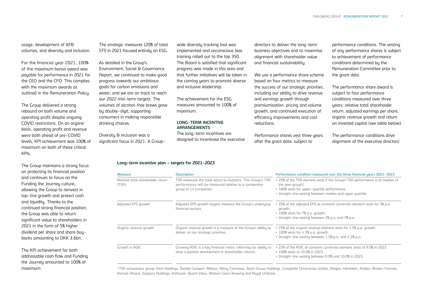usage, development of AFB volumes, and diversity and inclusion.

For the financial year 2021, 100% of the maximum bonus award was payable for performance in 2021 for the CEO and the CFO. This complies with the maximum awards as outlined in the Remuneration Policy.

The Group delivered a strong rebound on both volume and operating profit despite ongoing COVID restrictions. On an organic basis, operating profit and revenue were both ahead of pre-COVID levels. KPI achievement was 100% of maximum on both of these critical KPIs.

The Group maintains a strong focus on protecting its financial position and continues to focus on the Funding the Journey culture. allowing the Group to reinvest in top-line growth and protect cash and liquidity. Thanks to the continued strong financial position, the Group was able to return significant value to shareholders in 2021 in the form of 5% higher dividend per share and share buybacks amounting to DKK 3.6bn.

The KPI achievement for both addressable cash flow and Funding the Journey amounted to 100% of maximum.

The strategic measures (20% of total STI) in 2021 focused entirely on ESG.

#### As detailed in the Group's

Environment, Social & Governance Report, we continued to make good progress towards our ambitious goals for carbon emissions and water, and we are on track to reach our 2022 mid-term targets. The volumes of alcohol-free brews grew by double-digit, supporting consumers in making responsible drinking choices.

Diversity & inclusion was a significant focus in 2021. A Groupwide diversity tracking tool was implemented and unconscious bias training rolled out to the top 350. The Board is satisfied that significant progress was made in this area and that further initiatives will be taken in the coming years to promote diverse and inclusive leadership.

The achievement for the ESG measures amounted to 100% of maximum.

#### **LONG-TERM INCENTIVE ARRANGEMENTS**

The long-term incentives are designed to incentivise the executive directors to deliver the long-term business objectives and to maximise alignment with shareholder value and financial sustainability.

We use a performance share scheme based on four metrics to measure the success of our strategic priorities, including our ability to drive revenue and earnings growth through premiumisation, pricing and volume growth, and continued execution of efficiency improvements and cost reductions.

Performance shares vest three years after the grant date, subject to

performance conditions. The vesting of any performance shares is subject to achievement of performance conditions determined by the Remuneration Committee prior to the grant date.

The performance share award is subject to four performance conditions measured over three years: relative total shareholder return, adjusted earnings per share, organic revenue growth and return on invested capital (see table below).

The performance conditions drive alignment of the executive directors'

#### **Long-term incentive plan – targets for 2021-2023**

| <b>Measure</b>                                                                                                                                                                                             | <b>Description</b>                                                                                                       | Performance condition measured over the three financial years 2021-2023                                                                                                                                           |  |  |
|------------------------------------------------------------------------------------------------------------------------------------------------------------------------------------------------------------|--------------------------------------------------------------------------------------------------------------------------|-------------------------------------------------------------------------------------------------------------------------------------------------------------------------------------------------------------------|--|--|
| Relative total shareholder return<br>TSR measures the total return to investors. The Group's TSR<br>performance will be measured relative to a comparator<br>(TSR)<br>group of 14 companies <sup>1</sup> . |                                                                                                                          | • 25% of the TSR element vests if the Group's TSR performance is at median of<br>the peer group's'.<br>• 100% vests for upper-quartile performance.<br>. Straight-line vesting between median and upper quartile. |  |  |
| Adjusted EPS growth                                                                                                                                                                                        | Adjusted EPS growth targets measure the Group's underlying<br>financial success.                                         | . 25% of the adjusted EPS at constant currencies element vests for 3% p.a.<br>growth.<br>• 100% vests for 7% p.a. growth.<br>• Straight-line vesting between 3% p.a. and 7% p.a.                                  |  |  |
| Organic revenue growth                                                                                                                                                                                     | Organic revenue growth is a measure of the Group's ability to<br>deliver on our strategic priorities.                    | . 25% of the organic revenue element vests for 1.5% p.a. growth.<br>$\cdot$ 100% vests for 4.5% p.a. growth.<br>• Straight-line vesting between 1.5% p.a. and 4.5% p.a.                                           |  |  |
| Growth in ROIC                                                                                                                                                                                             | Growing ROIC is a key financial metric reflecting our ability to<br>drive a positive development in shareholder returns. | . 25% of the ROIC at constant currencies element vests at 9.0% in 2023.<br>$\cdot$ 100% vests at 10.0% in 2023.<br>• Straight-line vesting between 9.0% and 10.0% in 2023.                                        |  |  |

<sup>1</sup> TSR comparator group: Kirin Holdings, Davide Campari-Milano, Rémy Cointreau, Asahi Group Holdings, Compañía Cervecerías Unidas, Diageo, Heineken, Ambev, Brown-Forman, Pernod-Ricard, Sapporo Holdings, Anheuser-Busch Inbev, Molson Coors Brewing and Royal Unibrew.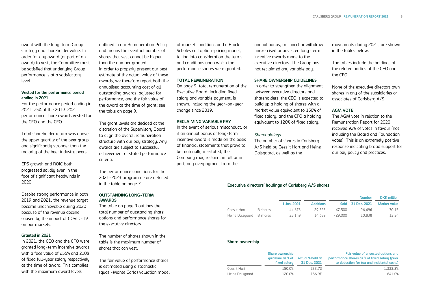award with the long-term Group strategy and shareholder value. In order for any award (or part of an award) to vest, the Committee must be satisfied that underlying Group performance is at a satisfactory level.

#### **Vested for the performance period ending in 2021**

For the performance period ending in 2021, 75% of the 2019-2021 performance share awards vested for the CEO and the CFO.

Total shareholder return was above the upper quartile of the peer group and significantly stronger than the majority of the beer industry peers.

EPS growth and ROIC both progressed solidly even in the face of significant headwinds in 2020.

Despite strong performance in both 2019 and 2021, the revenue target became unachievable during 2020 because of the revenue decline caused by the impact of COVID-19 on our markets.

#### **Granted in 2021**

In 2021, the CEO and the CFO were granted long-term incentive awards with a face value of 255% and 210% of fixed full-year salary respectively at the time of award. This complies with the maximum award levels

outlined in our Remuneration Policy and means the eventual number of shares that vest cannot be higher than the number granted. In order to properly present our best estimate of the actual value of these awards, we therefore report both the annualised accounting cost of all outstanding awards, adjusted for performance, and the fair value of the award at the time of grant; see the table on page 9.

The grant levels are decided at the discretion of the Supervisory Board to align the overall remuneration structure with our pay strategy. Any awards are subject to successful achievement of stated performance criteria.

The performance conditions for the 2021-2023 programme are detailed in the table on page 7.

#### **OUTSTANDING LONG-TERM AWARDS**

The table on page 9 outlines the total number of outstanding share options and performance shares for the executive directors.

The number of shares shown in the table is the maximum number of shares that can vest.

The fair value of performance shares is estimated using a stochastic (quasi-Monte Carlo) valuation model of market conditions and a Black-Scholes call option-pricing model, taking into consideration the terms and conditions upon which the performance shares were granted.

#### **TOTAL REMUNERATION**

On page 9, total remuneration of the Executive Board, including fixed salary and variable payment, is shown, including the year-on-year change since 2019.

#### **RECLAIMING VARIABLE PAY**

In the event of serious misconduct, or if an annual bonus or long-term incentive award is made on the basis of financial statements that prove to be materially misstated, the Company may reclaim, in full or in part, any overpayment from the

annual bonus, or cancel or withdraw unexercised or unvested long-term incentive awards made to the executive directors. The Group has not reclaimed any variable pay.

#### **SHARE OWNERSHIP GUIDELINES**

In order to strengthen the alignment between executive directors and shareholders, the CEO is expected to build up a holding of shares with a market value equivalent to 150% of fixed salary, and the CFO a holding equivalent to 120% of fixed salary.

#### *Shareholdings*

The number of shares in Carlsberg A/S held by Cees 't Hart and Heine Dalsgaard, as well as the

movements during 2021, are shown in the tables below.

The tables include the holdings of the related parties of the CEO and the CFO.

None of the executive directors own shares in any of the subsidiaries or associates of Carlsberg A/S.

#### **AGM VOTE**

The AGM vote in relation to the Remuneration Report for 2020 received 92% of votes in favour (not including the Board and Foundation votes). This is an extremely positive response indicating broad support for our pay policy and practices.

#### **Executive directors' holdings of Carlsberg A/S shares**

|                          |          | <b>Number</b> |                  |         |                   |                     |  |
|--------------------------|----------|---------------|------------------|---------|-------------------|---------------------|--|
|                          |          | 1 Jan. 2021   | <b>Additions</b> |         | Sold 31 Dec. 2021 | <b>Market value</b> |  |
| Cees 't Hart             | B shares | 44.673        | 29.523           | -47 500 | 26.696            | 30.15               |  |
| Heine Dalsgaard B shares |          | 25.149        | 14.689           | -29.000 | 10.838            | 12.24               |  |

#### **Share ownership**

|                 | <b>Share ownership</b><br>quideline as % of Actual % held at<br>fixed salary | 31 Dec. 2021 | Fair value of unvested options and<br>performance shares as % of fixed salary (prior<br>to deduction for tax and incidental costs) |
|-----------------|------------------------------------------------------------------------------|--------------|------------------------------------------------------------------------------------------------------------------------------------|
| Cees 't Hart    | 150.0%                                                                       | 233.7%       | 1.333.3%                                                                                                                           |
| Heine Dalsgaard | 120.0%                                                                       | 156.9%       | 641.0%                                                                                                                             |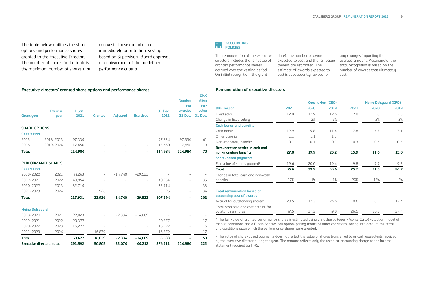The table below outlines the share options and performance shares granted to the Executive Directors. The number of shares in the table is the maximum number of shares that

**Executive directors' granted share options and performance shares**

can vest. These are adjusted immediately prior to final vesting based on Supervisory Board approval of achievement of the predefined performance criteria.



**DKK** 

The remuneration of the executive date), the number of awards directors includes the fair value of granted performance shares accrued over the vesting period. On initial recognition (the grant

expected to vest and the fair value thereof are estimated. The estimate of awards expected to vest is subsequently revised for

any changes impacting the accrued amount. Accordingly, the total recognition is based on the number of awards that ultimately vest.

#### **Remuneration of executive directors**

|                                   |                         |                  |                |                 |                  |                 | <b>Number</b>              | million                  |
|-----------------------------------|-------------------------|------------------|----------------|-----------------|------------------|-----------------|----------------------------|--------------------------|
| <b>Grant year</b>                 | <b>Exercise</b><br>year | $1$ Jan.<br>2021 | <b>Granted</b> | <b>Adjusted</b> | <b>Exercised</b> | 31 Dec.<br>2021 | For<br>exercise<br>31 Dec. | Fair<br>value<br>31 Dec. |
| <b>SHARE OPTIONS</b>              |                         |                  |                |                 |                  |                 |                            |                          |
| <b>Cees 't Hart</b>               |                         |                  |                |                 |                  |                 |                            |                          |
| 2015                              | 2018-2023               | 97,334           |                |                 |                  | 97,334          | 97,334                     | 61                       |
| 2016                              | 2019-2024               | 17,650           |                |                 |                  | 17,650          | 17,650                     | $\mathsf 9$              |
| <b>Total</b>                      |                         | 114,984          |                |                 |                  | 114,984         | 114,984                    | 70                       |
|                                   | PERFORMANCE SHARES      |                  |                |                 |                  |                 |                            |                          |
| <b>Cees 't Hart</b>               |                         |                  |                |                 |                  |                 |                            |                          |
| 2018-2020                         | 2021                    | 44,263           |                | $-14,740$       | $-29,523$        |                 |                            |                          |
| 2019-2021                         | 2022                    | 40,954           |                |                 |                  | 40,954          |                            | 35                       |
| 2020-2022                         | 2023                    | 32,714           |                |                 |                  | 32,714          |                            | 33                       |
| 2021-2023                         | 2024                    |                  | 33,926         |                 |                  | 33,926          | $\overline{\phantom{0}}$   | 34                       |
| <b>Total</b>                      |                         | 117,931          | 33,926         | $-14,740$       | $-29,523$        | 107,594         |                            | 102                      |
| <b>Heine Dalsgaard</b>            |                         |                  |                |                 |                  |                 |                            |                          |
| 2018-2020                         | 2021                    | 22,023           |                | $-7,334$        | $-14,689$        |                 |                            |                          |
| 2019-2021                         | 2022                    | 20,377           |                |                 |                  | 20,377          |                            | 17                       |
| 2020-2022                         | 2023                    | 16,277           |                |                 |                  | 16,277          |                            | 16                       |
| 2021-2023                         | 2024                    |                  | 16,879         |                 |                  | 16,879          |                            | 17                       |
| <b>Total</b>                      |                         | 58,677           | 16,879         | $-7,334$        | $-14,689$        | 53,533          |                            | 50                       |
| <b>Executive directors, total</b> |                         | 291.592          | 50.805         | $-22.074$       | $-44.212$        | 276.111         | 114.984                    | 222                      |

|                                                                 |      |         | Cees 't Hart (CEO) | <b>Heine Dalsgaard (CFO)</b> |        |      |  |
|-----------------------------------------------------------------|------|---------|--------------------|------------------------------|--------|------|--|
| <b>DKK</b> million                                              | 2021 | 2020    | 2019               | 2021                         | 2020   | 2019 |  |
| Fixed salary                                                    | 12.9 | 12.9    | 12.6               | 7.8                          | 7.8    | 7.6  |  |
| Change in fixed salary                                          |      | 2%      | 2%                 |                              | 3%     | 3%   |  |
| <b>Cash bonus and benefits</b>                                  |      |         |                    |                              |        |      |  |
| Cash bonus                                                      | 12.9 | 5.8     | 11.4               | 7.8                          | 3.5    | 7.1  |  |
| Other benefits                                                  | 1.1  | 1.1     | 1.1                |                              |        |      |  |
| Non-monetary benefits                                           | 0.1  | 0.1     | 0.1                | 0.3                          | 0.3    | 0.3  |  |
| Remuneration settled in cash and<br>non-monetary benefits       | 27.0 | 19.9    | 25.2               | 15.9                         | 11.6   | 15.0 |  |
| <b>Share-based payments</b>                                     |      |         |                    |                              |        |      |  |
| Fair value of shares granted <sup>1</sup>                       | 19.6 | 20.0    | 19.4               | 9.8                          | 9.9    | 9.7  |  |
| Total                                                           | 46.6 | 39.9    | 44.6               | 25.7                         | 21.5   | 24.7 |  |
| Change in total cash and non-cash<br>benefits                   | 17%  | $-11\%$ | 1%                 | 20%                          | $-13%$ | 2%   |  |
| <b>Total remuneration based on</b><br>accounting cost of awards |      |         |                    |                              |        |      |  |
| Accrual for outstanding shares <sup>2</sup>                     | 20.5 | 17.3    | 24.6               | 10.6                         | 8.7    | 12.4 |  |
| Total cash paid and cost accrual for<br>outstanding shares      | 47.5 | 37.2    | 49.8               | 26.5                         | 20.3   | 27.4 |  |

<sup>1</sup> The fair value of granted performance shares is estimated using a stochastic (quasi-Monte Carlo) valuation model of market conditions and a Black-Scholes call option-pricing model of other conditions, taking into account the terms and conditions upon which the performance shares were granted.

<sup>2</sup> The value of share-based payments does not reflect the value of shares transferred to or cash equivalents received by the executive director during the year. The amount reflects only the technical accounting charge to the income statement required by IFRS.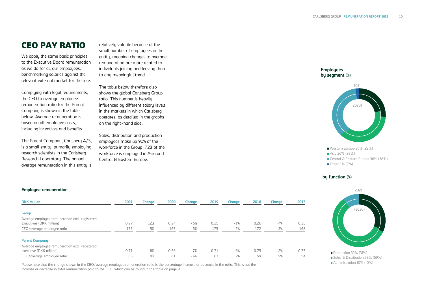## CEO PAY RATIO

We apply the same basic principles to the Executive Board remuneration as we do for all our employees, benchmarking salaries against the relevant external market for the role.

Complying with legal requirements, the CEO to average employee remuneration ratio for the Parent Company is shown in the table below. Average remuneration is based on all employee costs, including incentives and benefits.

The Parent Company, Carlsberg A/S, is a small entity, primarily employing research scientists in the Carlsberg Research Laboratory. The annual average remuneration in this entity is relatively volatile because of the small number of employees in the entity, meaning changes to average remuneration are more related to individuals joining and leaving than to any meaningful trend.

The table below therefore also shows the global Carlsberg Group ratio. This number is heavily influenced bu different salaru levels in the markets in which Carlsberg operates, as detailed in the graphs on the right-hand side.

Sales, distribution and production employees make up 90% of the workforce in the Group. 72% of the workforce is employed in Asia and Central & Eastern Europe.

#### **Employees by segment** (%)



Other 2% (2%)

#### **by function** (%)



#### **Employee remuneration**

| <b>DKK</b> million                                                        | 2021 | Change | 2020 | <b>Change</b> | 2019 | <b>Change</b> | 2018 | <b>Change</b> | 2017 |
|---------------------------------------------------------------------------|------|--------|------|---------------|------|---------------|------|---------------|------|
| <b>Group</b>                                                              |      |        |      |               |      |               |      |               |      |
| Average employee remuneration excl. registered                            |      |        |      |               |      |               |      |               |      |
| executives (DKK million)                                                  | 0.27 | 12%    | 0.24 | $-6%$         | 0.25 | $-1%$         | 0.26 | 4%            | 0.25 |
| CEO/average employee ratio                                                | 175  | 5%     | 167  | $-5%$         | 175  | 2%            | 172  | 2%            | 168  |
| <b>Parent Company</b>                                                     |      |        |      |               |      |               |      |               |      |
| Average employee remuneration excl. registered<br>executive (DKK million) | 0.71 | 8%     | 0.66 | $-7%$         | 0.71 | $-6%$         | 0.75 | $-2%$         | 0.77 |
| CEO/average employee ratio                                                | 65   | 8%     | 61   | $-4%$         | 63   | 7%            | 59   | 9%            | 54   |

Please note that the change shown in the CEO/average employee remuneration ratio is the percentage increase or decrease in the ratio. This is not the increase or decrease in total remuneration paid to the CEO, which can be found in the table on page 9.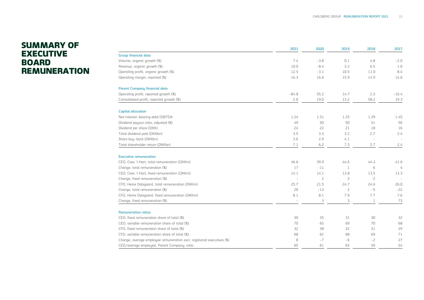## SUMMARY OF **EXECUTIVE** BOARD **REMUNERATION**

|                                                                       | 2021                     | 2020           | 2019           | 2018           | 2017           |
|-----------------------------------------------------------------------|--------------------------|----------------|----------------|----------------|----------------|
| <b>Group financial data</b>                                           |                          |                |                |                |                |
| Volume, organic growth (%)                                            | 7.4                      | $-3.8$         | 0.1            | 4.8            | $-2.0$         |
| Revenue, organic growth (%)                                           | 10.0                     | $-8.4$         | 3.2            | 6.5            | 1.0            |
| Operating profit, organic growth (%)                                  | 12.5                     | $-3.1$         | 10.5           | 11.0           | 8.4            |
| Operating margin, reported (%)                                        | 16.3                     | 16.6           | 15.9           | 14.9           | 14.6           |
| <b>Parent Company financial data</b>                                  |                          |                |                |                |                |
| Operating profit, reported growth (%)                                 | $-84.8$                  | 55.2           | 14.7           | 2.3            | $-16.4$        |
| Consolidated profit, reported growth (%)                              | 2.0                      | 19.0           | 13.2           | 58.2           | 19.3           |
| <b>Capital allocation</b>                                             |                          |                |                |                |                |
| Net interest-bearing debt/EBITDA                                      | 1.24                     | 1.51           | 1.25           | 1.29           | 1.45           |
| Dividend payout ratio, adjusted (%)                                   | 49                       | 50             | 50             | 51             | 50             |
| Dividend per share (DKK)                                              | 24                       | 22             | 21             | 18             | 16             |
| Total dividend paid (DKKbn)                                           | 3.5                      | 3.3            | 3.2            | 2.7            | 2.4            |
| Share buy-back (DKKbn)                                                | 3.6                      | 2.9            | 4.1            |                |                |
| Total shareholder return (DKKbn)                                      | 7.1                      | 6.2            | 7.3            | 2.7            | 2.4            |
| <b>Executive remuneration</b>                                         |                          |                |                |                |                |
| CEO, Cees 't Hart, total remuneration (DKKm)                          | 46.6                     | 39.9           | 44.6           | 44.3           | 41.6           |
| Change, total remuneration (%)                                        | 17                       | $-11$          | 1              | 6              | $\overline{4}$ |
| CEO, Cees 't Hart, fixed remuneration (DKKm)                          | 14.1                     | 14.1           | 13.8           | 13.5           | 13.3           |
| Change, fixed remuneration (%)                                        | $\overline{\phantom{a}}$ | $\overline{c}$ | $\overline{c}$ | $\overline{c}$ |                |
| CFO, Heine Dalsgaard, total remuneration (DKKm)                       | 25.7                     | 21.5           | 24.7           | 24.6           | 26.0           |
| Change, total remuneration (%)                                        | 20                       | $-13$          | $\overline{c}$ | $-5$           | $-22$          |
| CFO, Heine Dalsgaard, fixed remuneration (DKKm)                       | 8.1                      | 8.1            | 7.9            | 7.7            | 7.6            |
| Change, fixed remuneration (%)                                        |                          | 3              | 3              | 1              | 73             |
| <b>Remuneration ratios</b>                                            |                          |                |                |                |                |
| CEO, fixed remuneration share of total (%)                            | 30                       | 35             | 31             | 30             | 32             |
| CEO, variable remuneration share of total (%)                         | 70                       | 65             | 69             | 70             | 68             |
| CFO, fixed remuneration share of total (%)                            | 32                       | 38             | 32             | 31             | 29             |
| CFO, variable remuneration share of total (%)                         | 68                       | 62             | 68             | 69             | 71             |
| Change, average employee remuneration excl. registered executives (%) | 8                        | $-7$           | $-6$           | $-2$           | 27             |
| CEO/average employee, Parent Company, ratio                           | 65                       | 61             | 63             | 59             | 54             |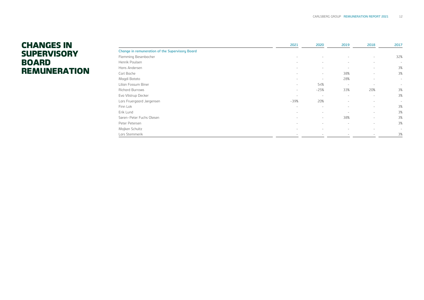## CHANGES IN **SUPERVISORY** BOARD REMUNERATION

|                                                        | 2021                     | 2020                     | 2019   | 2018                     | 2017   |
|--------------------------------------------------------|--------------------------|--------------------------|--------|--------------------------|--------|
| <b>Change in remuneration of the Supervisory Board</b> |                          |                          |        |                          |        |
| Flemming Besenbacher                                   | $\sim$                   | ×.                       |        | ۰                        | 32%    |
| Henrik Poulsen                                         | $\sim$                   | $\sim$                   | -      | $\sim$                   | $\sim$ |
| Hans Andersen                                          | $\overline{\phantom{a}}$ | $\sim$                   |        | $\sim$                   | 3%     |
| Carl Bache                                             | $\sim$                   | $\sim$                   | 38%    | $\sim$                   | 3%     |
| Magdi Batato                                           | $\sim$                   | $\sim$                   | 28%    | ٠                        | $\sim$ |
| Lilian Fossum Biner                                    | $\overline{\phantom{a}}$ | 54%                      | $\sim$ | $\sim$                   | $\sim$ |
| <b>Richard Burrows</b>                                 | $\overline{\phantom{a}}$ | $-25%$                   | 33%    | 20%                      | 3%     |
| Eva Vilstrup Decker                                    | $\sim$                   | $\sim$                   | $\sim$ | $\sim$                   | 3%     |
| Lars Fruergaard Jørgensen                              | $-39%$                   | 20%                      | -      | $\sim$                   | $\sim$ |
| Finn Lok                                               | $\sim$                   | $\sim$                   | -      | $\sim$                   | 3%     |
| Erik Lund                                              | $\overline{\phantom{a}}$ | $\overline{\phantom{a}}$ | $\sim$ | $\sim$                   | 3%     |
| Søren-Peter Fuchs Olesen                               | $\overline{\phantom{a}}$ | ۰                        | 38%    | ٠                        | 3%     |
| Peter Petersen                                         | $\sim$                   | $\sim$                   | $\sim$ | $\overline{\phantom{a}}$ | 3%     |
| Majken Schultz                                         | $\sim$                   | $\sim$                   |        | ×.                       | $\sim$ |
| Lars Stemmerik                                         | $\sim$                   |                          |        |                          | 3%     |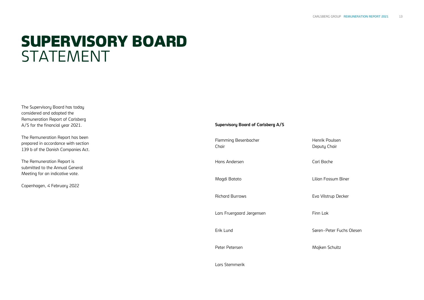## SUPERVISORY BOARD **STATEMENT**

The Supervisory Board has today considered and adopted the Remuneration Report of Carlsberg A/S for the financial year 2021.

The Remuneration Report has been prepared in accordance with section 139 b of the Danish Companies Act.

The Remuneration Report is submitted to the Annual General Meeting for an indicative vote.

Copenhagen, 4 February 2022

#### **Supervisory Board of Carlsberg A/S**

Flemming Besenbacher Chair Henrik Poulsen Deputy Chair Hans Andersen Carl Bache Magdi Batato Lilian Fossum Biner Richard Burrows **Eva Vilstrup Decker** Lars Fruergaard Jørgensen Finn Lok Erik Lund Søren-Peter Fuchs Olesen Peter Petersen Majken Schultz

Lars Stemmerik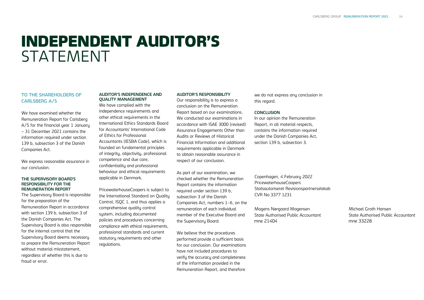## INDEPENDENT AUDITOR'S STATEMENT

#### **TO THE SHAREHOLDERS OF CARLSBERG A/S**

We have examined whether the Remuneration Report for Carlsberg A/S for the financial year 1 January – 31 December 2021 contains the information required under section 139 b, subsection 3 of the Danish Companies Act.

We express reasonable assurance in our conclusion.

#### **THE SUPERVISORY BOARD'S RESPONSIBILITY FOR THE REMUNERATION REPORT**

The Supervisory Board is responsible for the preparation of the Remuneration Report in accordance with section 139 b, subsection 3 of the Danish Companies Act. The Supervisory Board is also responsible for the internal control that the Supervisory Board deems necessary to prepare the Remuneration Report without material misstatement, regardless of whether this is due to fraud or error.

#### **AUDITOR'S INDEPENDENCE AND QUALITY MANAGEMENT**

We have complied with the independence requirements and other ethical requirements in the International Ethics Standards Board for Accountants' International Code of Ethics for Professional Accountants (IESBA Code), which is founded on fundamental principles of integrity, objectivity, professional competence and due care, confidentiality and professional behaviour and ethical requirements applicable in Denmark.

PricewaterhouseCoopers is subject to the International Standard on Quality Control, ISQC 1, and thus applies a comprehensive quality control system, including documented policies and procedures concerning compliance with ethical requirements, professional standards and current statutory requirements and other regulations.

#### **AUDITOR'S RESPONSIBILITY**

Our responsibility is to express a conclusion on the Remuneration Report based on our examinations. We conducted our examinations in accordance with ISAE 3000 (revised) Assurance Engagements Other than Audits or Reviews of Historical Financial Information and additional requirements applicable in Denmark to obtain reasonable assurance in respect of our conclusion.

As part of our examination, we checked whether the Remuneration Report contains the information required under section 139 b, subsection 3 of the Danish Companies Act, numbers 1-6, on the remuneration of each individual member of the Executive Board and the Supervisory Board.

We believe that the procedures performed provide a sufficient basis for our conclusion. Our examinations have not included procedures to verify the accuracy and completeness of the information provided in the Remuneration Report, and therefore

we do not express any conclusion in this regard.

#### **CONCLUSION**

In our opinion the Remuneration Report, in all material respects, contains the information required under the Danish Companies Act, section 139 b, subsection 3.

Copenhagen, 4 February 2022 PricewaterhouseCoopers Statsautoriseret Revisionspartnerselskab CVR No 3377 1231

Mogens Nørgaard Mogensen Michael Groth Hansen State Authorised Public Accountant State Authorised Public Accountant mne 21404 mne 33228